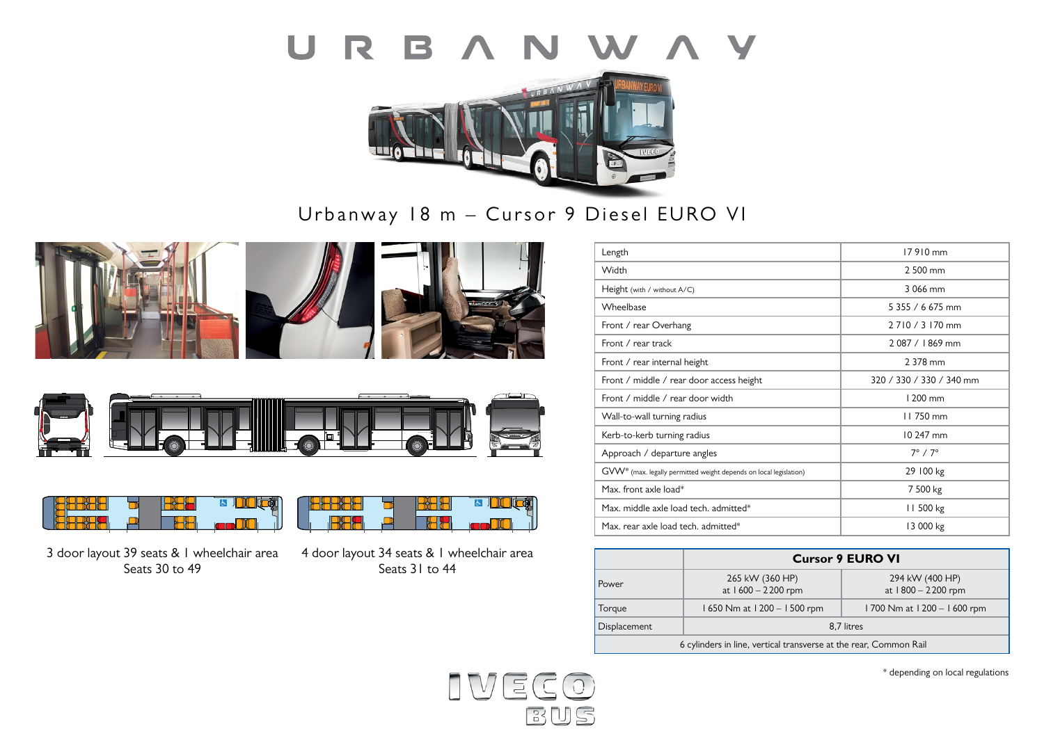



Urbanway 18 m – Cursor 9 Diesel EURO VI









**RANGE** 

3 door layout 39 seats & 1 wheelchair area Seats 30 to 49

4 door layout 34 seats & 1 wheelchair area Seats 31 to 44

**B**HH

**B** DOCO

| Length                                                                        | 17910 mm                 |
|-------------------------------------------------------------------------------|--------------------------|
| Width                                                                         | 2 500 mm                 |
| Height (with / without A/C)                                                   | 3.066 mm                 |
| Wheelbase                                                                     | 5 355 / 6 675 mm         |
| Front / rear Overhang                                                         | 2 7 10 / 3 170 mm        |
| Front / rear track                                                            | 2.087 / 1.869 mm         |
| Front / rear internal height                                                  | 2 378 mm                 |
| Front / middle / rear door access height                                      | 320 / 330 / 330 / 340 mm |
| Front / middle / rear door width                                              | 1200 mm                  |
| Wall-to-wall turning radius                                                   | 11750 mm                 |
| Kerb-to-kerb turning radius                                                   | 10 247 mm                |
| Approach / departure angles                                                   | $7^\circ / 7^\circ$      |
| GVW <sup>*</sup> (max. legally permitted weight depends on local legislation) | 29 100 kg                |
| Max. front axle load*                                                         | 7 500 kg                 |
| Max, middle axle load tech, admitted*                                         | 11 500 kg                |
| Max. rear axle load tech. admitted*                                           | 13 000 kg                |

|                                                                   | <b>Cursor 9 EURO VI</b>                 |                                       |  |  |
|-------------------------------------------------------------------|-----------------------------------------|---------------------------------------|--|--|
| Power                                                             | 265 kW (360 HP)<br>at $1600 - 2200$ rpm | 294 kW (400 HP)<br>at 1800 - 2200 rpm |  |  |
| Torque                                                            | 1650 Nm at 1200 - 1500 rpm              | 1700 Nm at 1200 - 1600 rpm            |  |  |
| Displacement                                                      | 8.7 litres                              |                                       |  |  |
| 6 cylinders in line, vertical transverse at the rear, Common Rail |                                         |                                       |  |  |



\* depending on local regulations